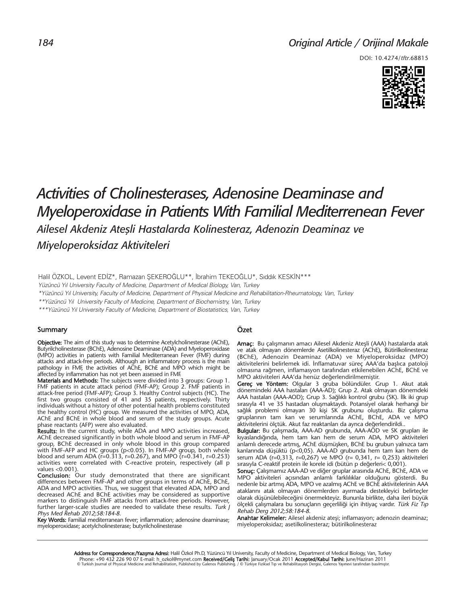## *Original Article / Orijinal Makale*

DOI: 10.4274/tftr.68815



# *Activities of Cholinesterases, Adenosine Deaminase and Myeloperoxidase in Patients With Familial Mediterrenean Fever Ailesel Akdeniz Ateşli Hastalarda Kolinesteraz, Adenozin Deaminaz ve Miyeloperoksidaz Aktiviteleri*

Halil ÖZKOL, Levent EDİZ\*, Ramazan ŞEKEROĞLU\*\*, İbrahim TEKEOĞLU\*, Sıddık KESKİN\*\*\*

Yüzüncü Yıl University Faculty of Medicine, Department of Medical Biology, Van, Turkey

\*Yüzüncü Yıl University, Faculty of Medicine, Department of Physical Medicine and Rehabilitation-Rheumatology, Van, Turkey

\*\*Yüzüncü Yıl University Faculty of Medicine, Department of Biochemistry, Van, Turkey

\*\*\*Yüzüncü Yıl University Faculty of Medicine, Department of Biostatistics, Van, Turkey

#### **Summary**

**Objective:** The aim of this study was to determine Acetylcholinesterase (AChE), Butyrilcholinesterase (BChE), Adenosine Deaminase (ADA) and Myeloperoxidase (MPO) activities in patients with Familial Mediterranean Fever (FMF) during attacks and attack-free periods. Although an inflammatory process is the main pathology in FMF, the activities of AChE, BChE and MPO which might be affected by inflammation has not yet been assessed in FMF.

**Materials and Methods:** The subjects were divided into 3 groups: Group 1. FMF patients in acute attack period (FMF-AP); Group 2. FMF patients in attack-free period (FMF-AFP); Group 3. Healthy Control subjects (HC). The first two groups consisted of 41 and 35 patients, respectively. Thirty individuals without a history of other potential health problems constituted the healthy control (HC) group. We measured the activities of MPO, ADA, AChE and BChE in whole blood and serum of the study groups. Acute phase reactants (AFP) were also evaluated.

Results: In the current study, while ADA and MPO activities increased, AChE decreased significantly in both whole blood and serum in FMF-AP group, BChE decreased in only whole blood in this group compared with FMF-AFP and HC groups (p<0.05). In FMF-AP group, both whole blood and serum ADA ( $r=0.313$ ,  $r=0.267$ ), and MPO ( $r=0.341$ ,  $r=0.253$ ) activities were correlated with C-reactive protein, respectively (all p values <0.001).

Conclusion: Our study demonstrated that there are significant differences between FMF-AP and other groups in terms of AChE, BChE, ADA and MPO activities. Thus, we suggest that elevated ADA, MPO and decreased AChE and BChE activities may be considered as supportive markers to distinguish FMF attacks from attack-free periods. However, further larger-scale studies are needed to validate these results. Turk  $\overline{I}$ Phys Med Rehab 2012;58:184-8.

Key Words: Familial mediterranean fever; inflammation; adenosine deaminase; myeloperoxidase; acetylcholinesterase; butyrilcholinesterase

#### Özet

Amaç: Bu çalışmanın amacı Ailesel Akdeniz Ateşli (AAA) hastalarda atak ve atak olmayan dönemlerde Asetilkolinesteraz (AChE), Bütirilkolinesteraz (BChE), Adenozin Deaminaz (ADA) ve Miyeloperoksidaz (MPO) aktivitelerini belirlemek idi. İnflamatuvar süreç AAA'da başlıca patoloji olmasına rağmen, inflamasyon tarafından etkilenebilen AChE, BChE ve MPO aktiviteleri AAA'da henüz değerlendirilmemiştir.

Gereç ve Yöntem: Olgular 3 gruba bölündüler. Grup 1. Akut atak dönemindeki AAA hastaları (AAA-AD); Grup 2. Atak olmayan dönemdeki AAA hastaları (AAA-AOD); Grup 3. Sağlıklı kontrol grubu (SK). İlk iki grup sırasıyla 41 ve 35 hastadan oluşmaktaydı. Potansiyel olarak herhangi bir sağlık problemi olmayan 30 kişi SK grubunu oluşturdu. Biz çalışma gruplarının tam kan ve serumlarında AChE, BChE, ADA ve MPO aktivitelerini ölçtük. Akut faz reaktanları da ayrıca değerlendirildi..

Bulgular: Bu çalışmada, AAA-AD grubunda, AAA-AOD ve SK grupları ile kıyaslandığında, hem tam kan hem de serum ADA, MPO aktiviteleri anlamlı derecede artmış, AChE düşmüşken, BChE bu grubun yalnızca tam kanlarında düşüktü (p<0,05). AAA-AD grubunda hem tam kan hem de serum ADA (r=0,313, r=0,267) ve MPO (r= 0,341, r= 0,253) aktiviteleri sırasıyla C-reaktif protein ile korele idi (bütün p değerleri< 0,001).

Sonuç: Çalışmamız AAA-AD ve diğer gruplar arasında AChE, BChE, ADA ve MPO aktiviteleri açısından anlamlı farklılıklar olduğunu gösterdi. Bu nedenle biz artmış ADA, MPO ve azalmış AChE ve BChE aktivitelerinin AAA ataklarını atak olmayan dönemlerden ayırmada destekleyici belirteçler olarak düşünülebileceğini önermekteyiz. Bununla birlikte, daha ileri büyük ölçekli çalışmalara bu sonuçların geçerliliği için ihtiyaç vardır. Türk Fiz Tıp Re hab Derg 2012;58:184-8.

Anahtar Kelimeler: Ailesel akdeniz ateşi; inflamasyon; adenozin deaminaz; miyeloperoksidaz; asetilkolinesteraz; bütirilkolinesteraz

Address for Correspondence:/Yazışma Adresi: Halil Özkol Ph.D, Yüzüncü Yıl University, Faculty of Medicine, Department of Medical Biology, Van, Turkey Phone: +90 432 226 90 07 E-mail: h\_ozkol@mynet.com Received/Gelis Tarihi: January/Ocak 2011 Accepted/Kabul Tarihi: June/Haziran 2011<br>© Turkish Journal of Physical Medicine and Rehabilitation, Published by Galenos Publishin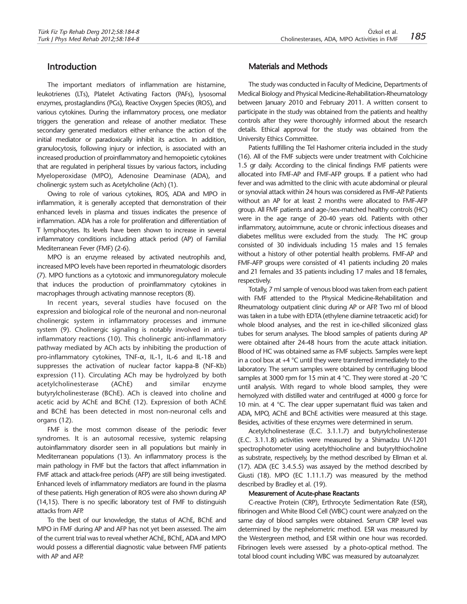## **Introduction**

The important mediators of inflammation are histamine, leukotrienes (LTs), Platelet Activating Factors (PAFs), lysosomal enzymes, prostaglandins (PGs), Reactive Oxygen Species (ROS), and various cytokines. During the inflammatory process, one mediator triggers the generation and release of another mediator. These secondary generated mediators either enhance the action of the initial mediator or paradoxically inhibit its action. In addition, granulocytosis, following injury or infection, is associated with an increased production of proinflammatory and hemopoietic cytokines that are regulated in peripheral tissues by various factors, including Myeloperoxidase (MPO), Adenosine Deaminase (ADA), and cholinergic system such as Acetylcholine (Ach) (1).

Owing to role of various cytokines, ROS, ADA and MPO in inflammation, it is generally accepted that demonstration of their enhanced levels in plasma and tissues indicates the presence of inflammation. ADA has a role for proliferation and differentiation of T lymphocytes. Its levels have been shown to increase in several inflammatory conditions including attack period (AP) of Familial Mediterranean Fever (FMF) (2-6).

MPO is an enzyme released by activated neutrophils and, increased MPO levels have been reported in rheumatologic disorders (7). MPO functions as a cytotoxic and immunoregulatory molecule that induces the production of proinflammatory cytokines in macrophages through activating mannose receptors (8).

In recent years, several studies have focused on the expression and biological role of the neuronal and non-neuronal cholinergic system in inflammatory processes and immune system (9). Cholinergic signaling is notably involved in antiinflammatory reactions (10). This cholinergic anti-inflammatory pathway mediated by ACh acts by inhibiting the production of pro-inflammatory cytokines, TNF-α, IL-1, IL-6 and IL-18 and suppresses the activation of nuclear factor kappa-B (NF-Kb) expression (11). Circulating ACh may be hydrolyzed by both acetylcholinesterase (AChE) and similar enzyme butyrylcholinesterase (BChE). ACh is cleaved into choline and acetic acid by AChE and BChE (12). Expression of both AChE and BChE has been detected in most non-neuronal cells and organs (12).

FMF is the most common disease of the periodic fever syndromes. It is an autosomal recessive, systemic relapsing autoinflammatory disorder seen in all populations but mainly in Mediterranean populations (13). An inflammatory process is the main pathology in FMF but the factors that affect inflammation in FMF attack and attack-free periods (AFP) are still being investigated. Enhanced levels of inflammatory mediators are found in the plasma of these patients. High generation of ROS were also shown during AP (14,15). There is no specific laboratory test of FMF to distinguish attacks from AFP.

To the best of our knowledge, the status of AChE, BChE and MPO in FMF during AP and AFP has not yet been assessed. The aim of the current trial was to reveal whether AChE, BChE, ADA and MPO would possess a differential diagnostic value between FMF patients with AP and AFP.

### Materials and Methods

The study was conducted in Faculty of Medicine, Departments of Medical Biology and Physical Medicine-Rehabilitation-Rheumatology between January 2010 and February 2011. A written consent to participate in the study was obtained from the patients and healthy controls after they were thoroughly informed about the research details. Ethical approval for the study was obtained from the University Ethics Committee.

Patients fulfilling the Tel Hashomer criteria included in the study (16). All of the FMF subjects were under treatment with Colchicine 1.5 gr daily. According to the clinical findings FMF patients were allocated into FMF-AP and FMF-AFP groups. If a patient who had fever and was admitted to the clinic with acute abdominal or pleural or synovial attack within 24 hours was considered as FMF-AP. Patients without an AP for at least 2 months were allocated to FMF-AFP group. All FMF patients and age-/sex-matched healthy controls (HC) were in the age range of 20-40 years old. Patients with other inflammatory, autoimmune, acute or chronic infectious diseases and diabetes mellitus were excluded from the study. The HC group consisted of 30 individuals including 15 males and 15 females without a history of other potential health problems. FMF-AP and FMF-AFP groups were consisted of 41 patients including 20 males and 21 females and 35 patients including 17 males and 18 females, respectively.

Totally, 7 ml sample of venous blood was taken from each patient with FMF attended to the Physical Medicine-Rehabilitation and Rheumatology outpatient clinic during AP or AFP. Two ml of blood was taken in a tube with EDTA (ethylene diamine tetraacetic acid) for whole blood analyses, and the rest in ice-chilled siliconized glass tubes for serum analyses. The blood samples of patients during AP were obtained after 24-48 hours from the acute attack initiation. Blood of HC was obtained same as FMF subjects. Samples were kept in a cool box at +4 °C until they were transferred immediately to the laboratory. The serum samples were obtained by centrifuging blood samples at 3000 rpm for 15 min at 4 °C. They were stored at -20 °C until analysis. With regard to whole blood samples, they were hemolyzed with distilled water and centrifuged at 4000 g force for 10 min. at 4 °C. The clear upper supernatant fluid was taken and ADA, MPO, AChE and BChE activities were measured at this stage. Besides, activities of these enzymes were determined in serum.

Acetylcholinesterase (E.C. 3.1.1.7) and butyrylcholinesterase (E.C. 3.1.1.8) activities were measured by a Shimadzu UV-1201 spectrophotometer using acetylthiocholine and butyrylthiocholine as substrate, respectively, by the method described by Ellman et al. (17). ADA (EC 3.4.5.5) was assayed by the method described by Giusti (18). MPO (EC 1.11.1.7) was measured by the method described by Bradley et al. (19).

#### Measurement of Acute-phase Reactants

C-reactive Protein (CRP), Erthrocyte Sedimentation Rate (ESR), fibrinogen and White Blood Cell (WBC) count were analyzed on the same day of blood samples were obtained. Serum CRP level was determined by the nephelometric method. ESR was measured by the Westergreen method, and ESR within one hour was recorded. Fibrinogen levels were assessed by a photo-optical method. The total blood count including WBC was measured by autoanalyzer.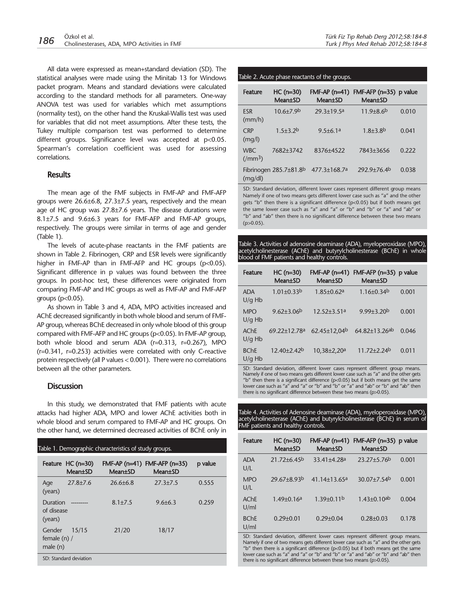All data were expressed as mean+standard deviation (SD). The statistical analyses were made using the Minitab 13 for Windows packet program. Means and standard deviations were calculated according to the standard methods for all parameters. One-way ANOVA test was used for variables which met assumptions (normality test), on the other hand the Kruskal-Wallis test was used for variables that did not meet assumptions. After these tests, the Tukey multiple comparison test was performed to determine different groups. Significance level was accepted at p<0.05. Spearman's correlation coefficient was used for assessing correlations.

#### **Results**

The mean age of the FMF subjects in FMF-AP and FMF-AFP groups were 26.6±6.8, 27.3±7.5 years, respectively and the mean age of HC group was 27.8±7.6 years. The disease durations were 8.1±7.5 and 9.6±6.3 years for FMF-AFP and FMF-AP groups, respectively. The groups were similar in terms of age and gender (Table 1).

The levels of acute-phase reactants in the FMF patients are shown in Table 2. Fibrinogen, CRP and ESR levels were significantly higher in FMF-AP than in FMF-AFP and HC groups  $(p<0.05)$ . Significant difference in p values was found between the three groups. In post-hoc test, these differences were originated from comparing FMF-AP and HC groups as well as FMF-AP and FMF-AFP groups ( $p<0.05$ ).

As shown in Table 3 and 4, ADA, MPO activities increased and AChE decreased significantly in both whole blood and serum of FMF-AP group, whereas BChE decreased in only whole blood of this group compared with FMF-AFP and HC groups (p<0.05). In FMF-AP group, both whole blood and serum ADA (r=0.313, r=0.267), MPO (r=0.341, r=0.253) activities were correlated with only C-reactive protein respectively (all P values < 0.001). There were no correlations between all the other parameters.

#### **Discussion**

In this study, we demonstrated that FMF patients with acute attacks had higher ADA, MPO and lower AChE activities both in whole blood and serum compared to FMF-AP and HC groups. On the other hand, we determined decreased activities of BChE only in

| Table 1. Demographic characteristics of study groups. |                                      |                 |                                                 |         |
|-------------------------------------------------------|--------------------------------------|-----------------|-------------------------------------------------|---------|
|                                                       | Feature HC (n=30)<br><b>Mean</b> ±SD | <b>Mean</b> ±SD | $FMF-AP(n=41) FMF-AFP(n=35)$<br><b>Mean</b> ±SD | p value |
| Age<br>(years)                                        | $27.8 \pm 7.6$                       | $26.6 + 6.8$    | $27.3 + 7.5$                                    | 0.555   |
| Duration<br>of disease<br>(years)                     |                                      | $8.1 \pm 7.5$   | $9.6 + 6.3$                                     | 0.259   |
| Gender<br>female $(n)$ /<br>male(n)                   | 15/15                                | 21/20           | 18/17                                           |         |
| SD: Standard deviation                                |                                      |                 |                                                 |         |

#### Table 2. Acute phase reactants of the groups.

| <b>Feature</b>              | $HC (n=30)$<br><b>Mean</b> ±SD         | $FMF-AP(n=41)$<br><b>Mean</b> ±SD | $FMF-AFP(n=35)$ p value<br><b>Mean</b> ±SD |       |
|-----------------------------|----------------------------------------|-----------------------------------|--------------------------------------------|-------|
| <b>FSR</b><br>(mm/h)        | $10.6 + 7.9$ <sup>b</sup>              | $29.3 \pm 19.5^a$                 | $11.9\pm8.6^{b}$                           | 0.010 |
| <b>CRP</b><br>(mq/l)        | $1.5 + 3.2b$                           | $9.5 + 6.1a$                      | $1.8 + 3.8$ <sup>b</sup>                   | 0.041 |
| <b>WBC</b><br>$\frac{1}{2}$ | 7682+3742                              | 8376+4522                         | 7843+3656                                  | 0.222 |
| (mq/dl)                     | Fibrinogen $285.7\pm81.8$ <sup>b</sup> | 477.3±168.7ª                      | 292.9±76.4b                                | 0.038 |

SD: Standard deviation, different lower cases represent different group means Namely if one of two means gets different lower case such as "a" and the other gets "b" then there is a significant difference (p<0.05) but if both means get the same lower case such as "a" and "a" or "b" and "b" or "a" and "ab" or "b" and "ab" then there is no significant difference between these two means (p>0.05).

Table 3. Activities of adenosine deaminase (ADA), myeloperoxidase (MPO), acetylcholinesterase (AChE) and butyrylcholinesterase (BChE) in whole blood of FMF patients and healthy controls.

| <b>Feature</b>          | $HC (n=30)$<br><b>Mean±SD</b> | $FMF-AP(n=41)$<br><b>Mean</b> ±SD | FMF-AFP (n=35) p value<br>Mean±SD |       |
|-------------------------|-------------------------------|-----------------------------------|-----------------------------------|-------|
| <b>ADA</b><br>$U/q$ Hb  | $1.01 \pm 0.33^{b}$           | $1.85 \pm 0.62$ <sup>a</sup>      | $1.16 \pm 0.34$ <sup>b</sup>      | 0.001 |
| <b>MPO</b><br>$U/q$ Hb  | $9.62 \pm 3.06^b$             | $12.52 \pm 3.51a$                 | $9.99 + 3.20b$                    | 0.001 |
| AChF<br>$U/q$ Hb        | 69.22±12.78a                  | 62.45±12,04 <sup>b</sup>          | 64.82±13.26ab                     | 0.046 |
| <b>BChE</b><br>$U/g$ Hb | $12.40 \pm 2.42$              | 10.38±2.20 <sup>a</sup>           | $11.72 + 2.24$                    | 0.011 |

SD: Standard deviation, different lower cases represent different group means. Namely if one of two means gets different lower case such as "a" and the other gets "b" then there is a significant difference (p<0.05) but if both means get the same lower case such as "a" and "a" or "b" and "b" or "a" and "ab" or "b" and "ab" then there is no significant difference between these two means (p>0.05).

Table 4. Activities of Adenosine deaminase (ADA), myeloperoxidase (MPO), acetylcholinesterase (AChE) and butyrylcholinesterase (BChE) in serum of FMF patients and healthy controls.

| Feature             | $HC (n=30)$<br><b>Mean</b> ±SD | $FMF-AP(n=41)$<br><b>Mean</b> ±SD | FMF-AFP $(n=35)$ p value<br><b>Mean</b> ±SD |       |
|---------------------|--------------------------------|-----------------------------------|---------------------------------------------|-------|
| <b>ADA</b><br>U/L   | $21.72 + 6.45$                 | $33.41 + 4.28a$                   | $23.27 + 5.76$                              | 0.001 |
| <b>MPO</b><br>U/L   | 29.67+8.93b                    | $41.14 + 13.65$ a                 | 30.07±7.54 <sup>b</sup>                     | 0.001 |
| AChF<br>U/ml        | $1.49 \pm 0.16^a$              | $1.39 + 0.11b$                    | $1.43 + 0.10$ <sup>ab</sup>                 | 0.004 |
| <b>BChE</b><br>U/ml | $0.29 \pm 0.01$                | $0.29 \pm 0.04$                   | $0.28 \pm 0.03$                             | 0.178 |

SD: Standard deviation, different lower cases represent different group means. Namely if one of two means gets different lower case such as "a" and the other gets "b" then there is a significant difference (p<0.05) but if both means get the same lower case such as "a" and "a" or "b" and "b" or "a" and "ab" or "b" and "ab" then there is no significant difference between these two means (p>0.05).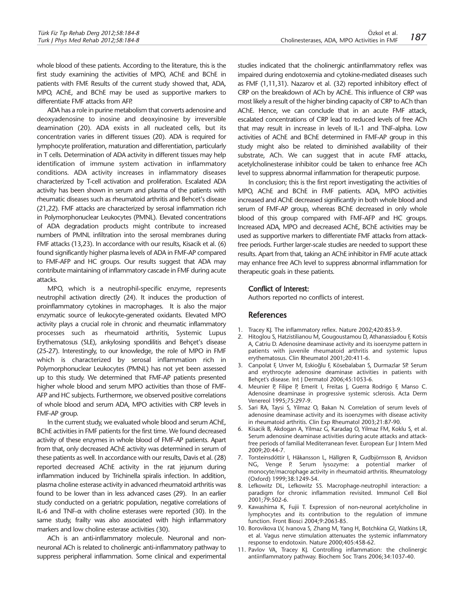whole blood of these patients. According to the literature, this is the first study examining the activities of MPO, AChE and BChE in patients with FMF. Results of the current study showed that, ADA, MPO, AChE, and BChE may be used as supportive markers to differentiate FMF attacks from AFP.

ADA has a role in purine metabolism that converts adenosine and deoxyadenosine to inosine and deoxyinosine by irreversible deamination (20). ADA exists in all nucleated cells, but its concentration varies in different tissues (20). ADA is required for lymphocyte proliferation, maturation and differentiation, particularly in T cells. Determination of ADA activity in different tissues may help identification of immune system activation in inflammatory conditions. ADA activity increases in inflammatory diseases characterized by T-cell activation and proliferation. Escalated ADA activity has been shown in serum and plasma of the patients with rheumatic diseases such as rheumatoid arthritis and Behcet's disease (21,22). FMF attacks are characterized by serosal inflammation rich in Polymorphonuclear Leukocytes (PMNL). Elevated concentrations of ADA degradation products might contribute to increased numbers of PMNL infiltration into the serosal membranes during FMF attacks (13,23). In accordance with our results, Kisacik et al. (6) found significantly higher plasma levels of ADA in FMF-AP compared to FMF-AFP and HC groups. Our results suggest that ADA may contribute maintaining of inflammatory cascade in FMF during acute attacks.

MPO, which is a neutrophil-specific enzyme, represents neutrophil activation directly (24). It induces the production of proinflammatory cytokines in macrophages. It is also the major enzymatic source of leukocyte-generated oxidants. Elevated MPO activity plays a crucial role in chronic and rheumatic inflammatory processes such as rheumatoid arthritis, Systemic Lupus Erythematosus (SLE), ankylosing spondilitis and Behçet's disease (25-27). Interestingly, to our knowledge, the role of MPO in FMF which is characterized by serosal inflammation rich in Polymorphonuclear Leukocytes (PMNL) has not yet been assessed up to this study. We determined that FMF-AP patients presented higher whole blood and serum MPO activities than those of FMF-AFP and HC subjects. Furthermore, we observed positive correlations of whole blood and serum ADA, MPO activities with CRP levels in FMF-AP group.

In the current study, we evaluated whole blood and serum AChE, BChE activities in FMF patients for the first time. We found decreased activity of these enzymes in whole blood of FMF-AP patients. Apart from that, only decreased AChE activity was determined in serum of these patients as well. In accordance with our results, Davis et al. (28) reported decreased AChE activity in the rat jejunum during inflammation induced by Trichinella spiralis infection. In addition, plasma choline esterase activity in advanced rheumatoid arthritis was found to be lower than in less advanced cases (29). In an earlier study conducted on a geriatric population, negative correlations of IL-6 and TNF-α with choline esterases were reported (30). In the same study, frailty was also associated with high inflammatory markers and low choline esterase activities (30).

ACh is an anti-inflammatory molecule. Neuronal and nonneuronal ACh is related to cholinergic anti-inflammatory pathway to suppress peripheral inflammation. Some clinical and experimental studies indicated that the cholinergic antiinflammatory reflex was impaired during endotoxemia and cytokine-mediated diseases such as FMF (1,11,31). Nazarov et al. (32) reported inhibitory effect of CRP on the breakdown of ACh by AChE. This influence of CRP was most likely a result of the higher binding capacity of CRP to ACh than AChE. Hence, we can conclude that in an acute FMF attack, escalated concentrations of CRP lead to reduced levels of free ACh that may result in increase in levels of IL-1 and TNF-alpha. Low activities of AChE and BChE determined in FMF-AP group in this study might also be related to diminished availability of their substrate, ACh. We can suggest that in acute FMF attacks, acetylcholinesterase inhibitor could be taken to enhance free ACh level to suppress abnormal inflammation for therapeutic purpose.

In conclusion; this is the first report investigating the activities of MPO, AChE and BChE in FMF patients. ADA, MPO activities increased and AChE decreased significantly in both whole blood and serum of FMF-AP group, whereas BChE decreased in only whole blood of this group compared with FMF-AFP and HC groups. Increased ADA, MPO and decreased AChE, BChE activities may be used as supportive markers to differentiate FMF attacks from attackfree periods. Further larger-scale studies are needed to support these results. Apart from that, taking an AChE inhibitor in FMF acute attack may enhance free ACh level to suppress abnormal inflammation for therapeutic goals in these patients.

#### Conflict of Interest:

Authors reported no conflicts of interest.

#### References

- 1. Tracey KJ. The inflammatory reflex. Nature 2002;420:853-9.
- 2. Hitoglou S, Hatzistilianou M, Gougoustamou D, Athanassiadou F, Kotsis A, Catriu D. Adenosine deaminase activity and its isoenzyme pattern in patients with juvenile rheumatoid arthritis and systemic lupus erythematosus. Clin Rheumatol 2001;20:411-6.
- 3. Canpolat F, Unver M, Eskioğlu F, Kösebalaban S, Durmazlar SP. Serum and erythrocyte adenosine deaminase activities in patients with Behçet's disease. Int J Dermatol 2006;45:1053-6.
- 4. Meunier P, Filipe P, Emerit I, Freitas J, Guerra Rodrigo F, Manso C. Adenosine deaminase in progressive systemic sclerosis. Acta Derm Venereol 1995;75:297-9.
- 5. Sari RA, Taysi S, Yilmaz O, Bakan N. Correlation of serum levels of adenosine deaminase activity and its isoenzymes with disease activity in rheumatoid arthritis. Clin Exp Rheumatol 2003;21:87-90.
- 6. Kisacik B, Akdogan A, Yilmaz G, Karadag O, Yilmaz FM, Koklu S, et al. Serum adenosine deaminase activities during acute attacks and attackfree periods of familial Mediterranean fever. European Eur J Intern Med 2009;20:44-7.
- 7. Torsteinsdóttir I, Hâkansson L, Hällgren R, Gudbjörnsson B, Arvidson NG, Venge P. Serum lysozyme: a potential marker of monocyte/macrophage activity in rheumatoid arthritis. Rheumatology (Oxford) 1999;38:1249-54.
- 8. Lefkowitz DL, Lefkowitz SS. Macrophage-neutrophil interaction: a paradigm for chronic inflammation revisited. Immunol Cell Biol 2001;79:502-6.
- 9. Kawashima K, Fujii T. Expression of non-neuronal acetylcholine in lymphocytes and its contribution to the regulation of immune function. Front Biosci 2004;9:2063-85.
- 10. Borovikova LV, Ivanova S, Zhang M, Yang H, Botchkina GI, Watkins LR, et al. Vagus nerve stimulation attenuates the systemic inflammatory response to endotoxin. Nature 2000;405:458-62.
- 11. Pavlov VA, Tracey KJ. Controlling inflammation: the cholinergic antiinflammatory pathway. Biochem Soc Trans 2006;34:1037-40.